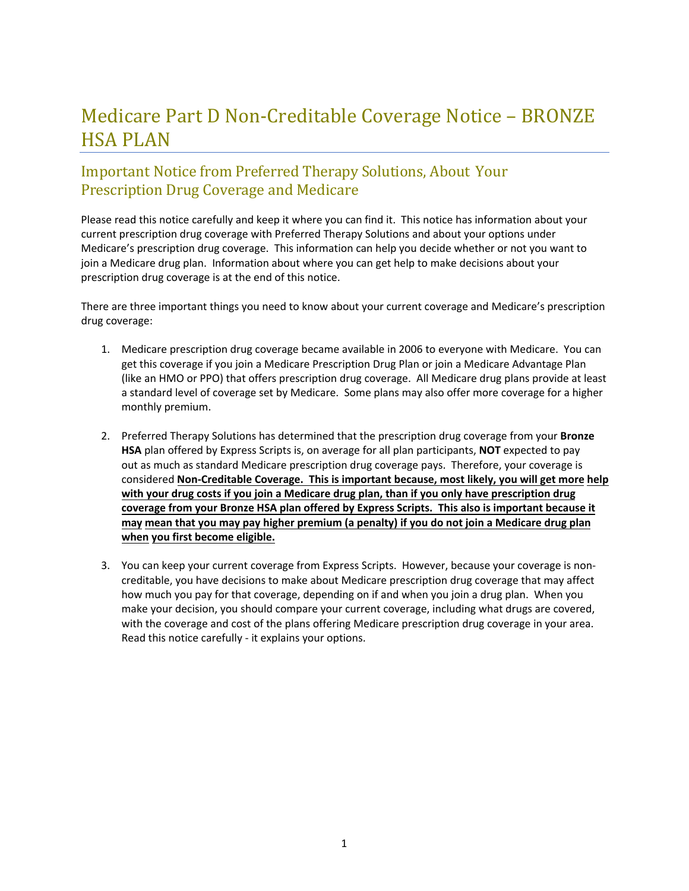# Medicare Part D Non‐Creditable Coverage Notice – BRONZE HSA PLAN

# Important Notice from Preferred Therapy Solutions, About Your Prescription Drug Coverage and Medicare

Please read this notice carefully and keep it where you can find it. This notice has information about your current prescription drug coverage with Preferred Therapy Solutions and about your options under Medicare's prescription drug coverage. This information can help you decide whether or not you want to join a Medicare drug plan. Information about where you can get help to make decisions about your prescription drug coverage is at the end of this notice.

There are three important things you need to know about your current coverage and Medicare's prescription drug coverage:

- 1. Medicare prescription drug coverage became available in 2006 to everyone with Medicare. You can get this coverage if you join a Medicare Prescription Drug Plan or join a Medicare Advantage Plan (like an HMO or PPO) that offers prescription drug coverage. All Medicare drug plans provide at least a standard level of coverage set by Medicare. Some plans may also offer more coverage for a higher monthly premium.
- 2. Preferred Therapy Solutions has determined that the prescription drug coverage from your **Bronze HSA** plan offered by Express Scripts is, on average for all plan participants, **NOT** expected to pay out as much as standard Medicare prescription drug coverage pays. Therefore, your coverage is considered **Non‐Creditable Coverage. This is important because, most likely, you will get more help with your drug costs if you join a Medicare drug plan, than if you only have prescription drug coverage from your Bronze HSA plan offered by Express Scripts. This also is important because it** may mean that you may pay higher premium (a penalty) if you do not join a Medicare drug plan **when you first become eligible.**
- 3. You can keep your current coverage from Express Scripts. However, because your coverage is non‐ creditable, you have decisions to make about Medicare prescription drug coverage that may affect how much you pay for that coverage, depending on if and when you join a drug plan. When you make your decision, you should compare your current coverage, including what drugs are covered, with the coverage and cost of the plans offering Medicare prescription drug coverage in your area. Read this notice carefully ‐ it explains your options.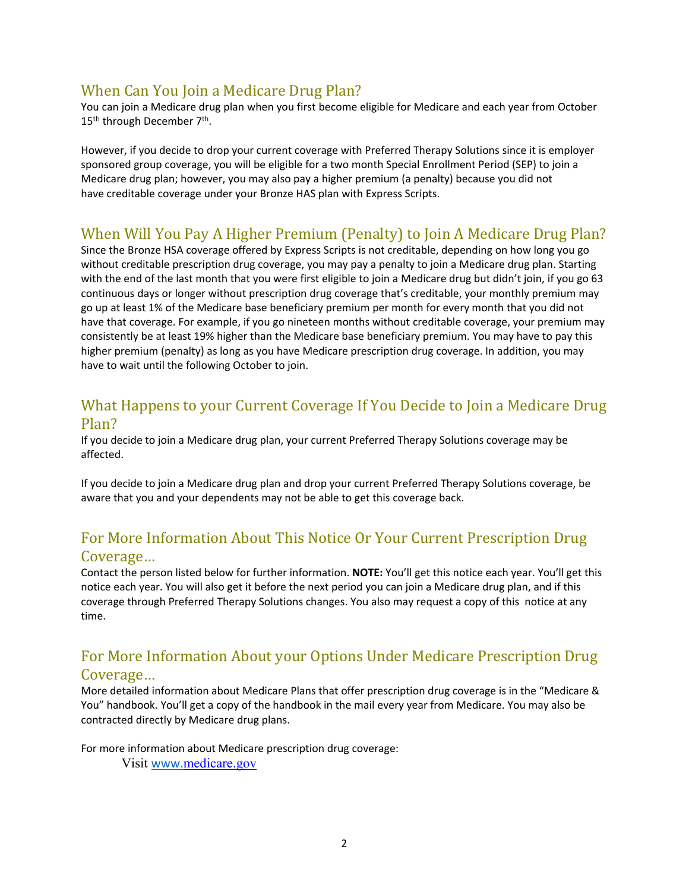## When Can You Join a Medicare Drug Plan?

You can join a Medicare drug plan when you first become eligible for Medicare and each year from October 15<sup>th</sup> through December 7<sup>th</sup>.

However, if you decide to drop your current coverage with Preferred Therapy Solutions since it is employer sponsored group coverage, you will be eligible for a two month Special Enrollment Period (SEP) to join a Medicare drug plan; however, you may also pay a higher premium (a penalty) because you did not have creditable coverage under your Bronze HAS plan with Express Scripts.

# When Will You Pay A Higher Premium (Penalty) to Join A Medicare Drug Plan?

Since the Bronze HSA coverage offered by Express Scripts is not creditable, depending on how long you go without creditable prescription drug coverage, you may pay a penalty to join a Medicare drug plan. Starting with the end of the last month that you were first eligible to join a Medicare drug but didn't join, if you go 63 continuous days or longer without prescription drug coverage that's creditable, your monthly premium may go up at least 1% of the Medicare base beneficiary premium per month for every month that you did not have that coverage. For example, if you go nineteen months without creditable coverage, your premium may consistently be at least 19% higher than the Medicare base beneficiary premium. You may have to pay this higher premium (penalty) as long as you have Medicare prescription drug coverage. In addition, you may have to wait until the following October to join.

#### What Happens to your Current Coverage If You Decide to Join a Medicare Drug Plan?

If you decide to join a Medicare drug plan, your current Preferred Therapy Solutions coverage may be affected.

If you decide to join a Medicare drug plan and drop your current Preferred Therapy Solutions coverage, be aware that you and your dependents may not be able to get this coverage back.

## For More Information About This Notice Or Your Current Prescription Drug Coverage…

Contact the person listed below for further information. **NOTE:** You'll get this notice each year. You'll get this notice each year. You will also get it before the next period you can join a Medicare drug plan, and if this coverage through Preferred Therapy Solutions changes. You also may request a copy of this notice at any time.

#### For More Information About your Options Under Medicare Prescription Drug Coverage…

More detailed information about Medicare Plans that offer prescription drug coverage is in the "Medicare & You" handbook. You'll get a copy of the handbook in the mail every year from Medicare. You may also be contracted directly by Medicare drug plans.

For more information about Medicare prescription drug coverage:

Visit www.medicare.gov